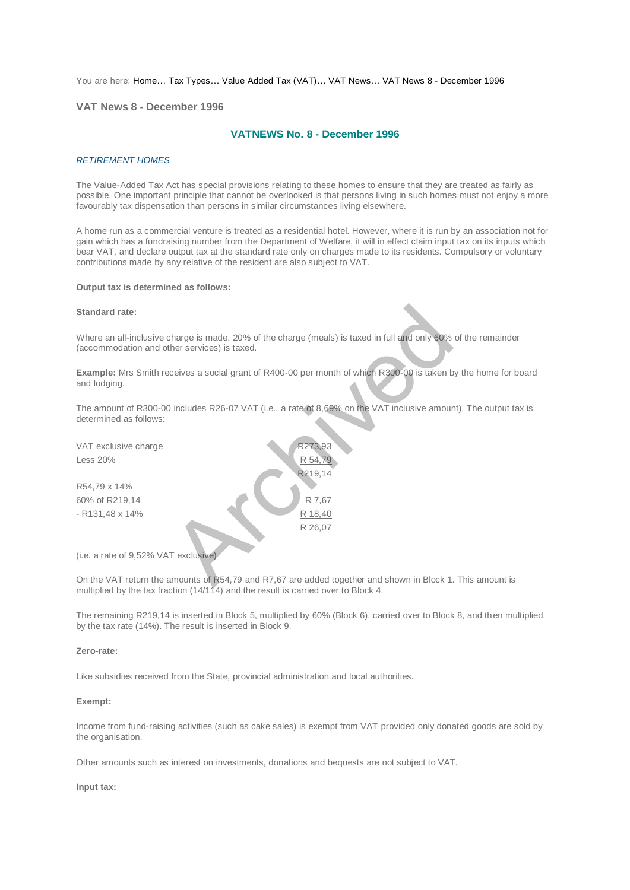You are here: [Home…](http://196.38.114.171/home.asp?pid=1) [Tax Types…](http://196.38.114.171/home.asp?pid=161) [Value Added Tax \(VAT\)…](http://196.38.114.171/home.asp?pid=194) [VAT News…](http://196.38.114.171/home.asp?pid=4722) [VAT News 8 - December 1996](http://196.38.114.171/home.asp?pid=47310) 

## **VAT News 8 - December 1996**

# **VATNEWS No. 8 - December 1996**

#### *RETIREMENT HOMES*

The Value-Added Tax Act has special provisions relating to these homes to ensure that they are treated as fairly as possible. One important principle that cannot be overlooked is that persons living in such homes must not enjoy a more favourably tax dispensation than persons in similar circumstances living elsewhere.

A home run as a commercial venture is treated as a residential hotel. However, where it is run by an association not for gain which has a fundraising number from the Department of Welfare, it will in effect claim input tax on its inputs which bear VAT, and declare output tax at the standard rate only on charges made to its residents. Compulsory or voluntary contributions made by any relative of the resident are also subject to VAT.

#### **Output tax is determined as follows:**

### **Standard rate:**

Where an all-inclusive charge is made, 20% of the charge (meals) is taxed in full and only 60% of the remainder (accommodation and other services) is taxed.

**Example:** Mrs Smith receives a social grant of R400-00 per month of which R300-00 is taken by the home for board and lodging.

The amount of R300-00 includes R26-07 VAT (i.e., a rate of 8,69% on the VAT inclusive amount). The output tax is determined as follows:

| <b>Standard rate:</b>                                                                                                                          |         |
|------------------------------------------------------------------------------------------------------------------------------------------------|---------|
| Where an all-inclusive charge is made, 20% of the charge (meals) is taxed in full and only 60%<br>(accommodation and other services) is taxed. |         |
| Example: Mrs Smith receives a social grant of R400-00 per month of which R300-00 is taken b<br>and lodging.                                    |         |
| The amount of R300-00 includes R26-07 VAT (i.e., a rate of 8,69% on the VAT inclusive amour<br>determined as follows:                          |         |
| VAT exclusive charge                                                                                                                           | R273,93 |
| Less 20%                                                                                                                                       | R 54,79 |
|                                                                                                                                                | R219,14 |
| R54,79 x 14%                                                                                                                                   |         |
| 60% of R219,14                                                                                                                                 | R 7,67  |
| - R131,48 x 14%                                                                                                                                | R 18,40 |
|                                                                                                                                                | R 26,07 |
| (i.e. a rate of 9,52% VAT exclusive)                                                                                                           |         |
| On the VAT return the amounts of R54,79 and R7,67 are added together and shown in Block 1.                                                     |         |

On the VAT return the amounts of R54,79 and R7,67 are added together and shown in Block 1. This amount is multiplied by the tax fraction (14/114) and the result is carried over to Block 4.

The remaining R219,14 is inserted in Block 5, multiplied by 60% (Block 6), carried over to Block 8, and then multiplied by the tax rate (14%). The result is inserted in Block 9.

#### **Zero-rate:**

Like subsidies received from the State, provincial administration and local authorities.

#### **Exempt:**

Income from fund-raising activities (such as cake sales) is exempt from VAT provided only donated goods are sold by the organisation.

Other amounts such as interest on investments, donations and bequests are not subject to VAT.

#### **Input tax:**